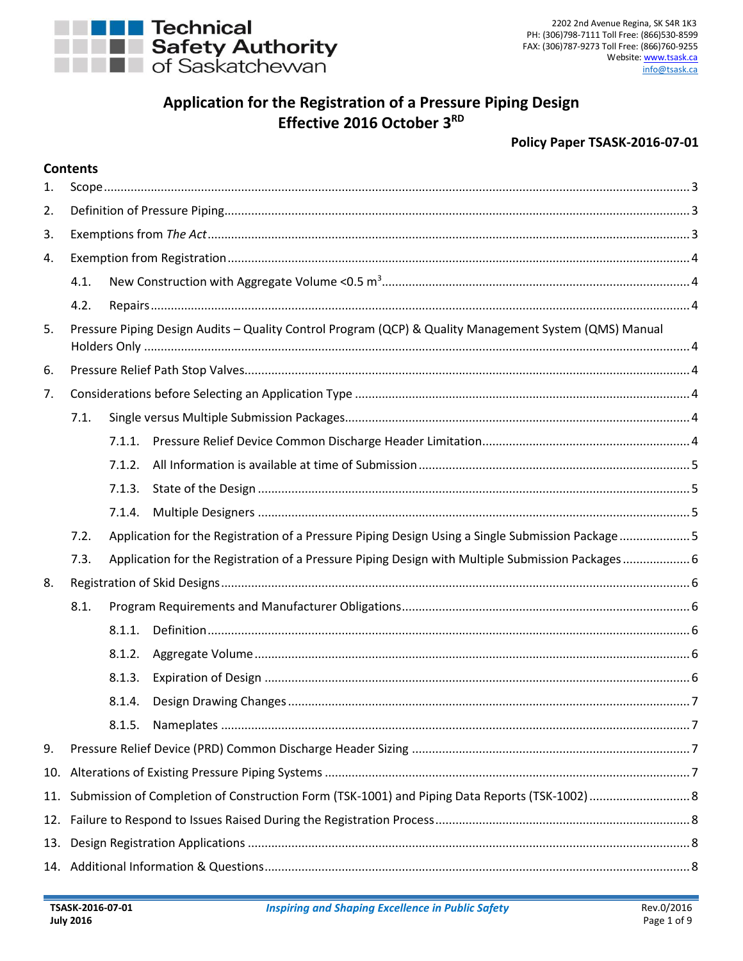

# **Application for the Registration of a Pressure Piping Design Effective 2016 October 3 RD**

#### **Policy Paper TSASK-2016-07-01**

#### **Contents**

| 1.  |                                                                                                        |        |                                                                                                   |  |  |  |  |
|-----|--------------------------------------------------------------------------------------------------------|--------|---------------------------------------------------------------------------------------------------|--|--|--|--|
| 2.  |                                                                                                        |        |                                                                                                   |  |  |  |  |
| 3.  |                                                                                                        |        |                                                                                                   |  |  |  |  |
| 4.  |                                                                                                        |        |                                                                                                   |  |  |  |  |
|     | 4.1.                                                                                                   |        |                                                                                                   |  |  |  |  |
|     | 4.2.                                                                                                   |        |                                                                                                   |  |  |  |  |
| 5.  | Pressure Piping Design Audits - Quality Control Program (QCP) & Quality Management System (QMS) Manual |        |                                                                                                   |  |  |  |  |
| 6.  |                                                                                                        |        |                                                                                                   |  |  |  |  |
| 7.  |                                                                                                        |        |                                                                                                   |  |  |  |  |
|     | 7.1.                                                                                                   |        |                                                                                                   |  |  |  |  |
|     |                                                                                                        | 7.1.1. |                                                                                                   |  |  |  |  |
|     |                                                                                                        | 7.1.2. |                                                                                                   |  |  |  |  |
|     |                                                                                                        | 7.1.3. |                                                                                                   |  |  |  |  |
|     |                                                                                                        | 7.1.4. |                                                                                                   |  |  |  |  |
|     | 7.2.                                                                                                   |        | Application for the Registration of a Pressure Piping Design Using a Single Submission Package  5 |  |  |  |  |
|     | 7.3.                                                                                                   |        | Application for the Registration of a Pressure Piping Design with Multiple Submission Packages 6  |  |  |  |  |
| 8.  |                                                                                                        |        |                                                                                                   |  |  |  |  |
|     | 8.1.                                                                                                   |        |                                                                                                   |  |  |  |  |
|     |                                                                                                        | 8.1.1. |                                                                                                   |  |  |  |  |
|     |                                                                                                        | 8.1.2. |                                                                                                   |  |  |  |  |
|     |                                                                                                        | 8.1.3. |                                                                                                   |  |  |  |  |
|     |                                                                                                        | 8.1.4. |                                                                                                   |  |  |  |  |
|     |                                                                                                        |        |                                                                                                   |  |  |  |  |
| 9.  |                                                                                                        |        |                                                                                                   |  |  |  |  |
| 10. |                                                                                                        |        |                                                                                                   |  |  |  |  |
| 11. |                                                                                                        |        |                                                                                                   |  |  |  |  |
| 12. |                                                                                                        |        |                                                                                                   |  |  |  |  |
| 13. |                                                                                                        |        |                                                                                                   |  |  |  |  |
|     |                                                                                                        |        |                                                                                                   |  |  |  |  |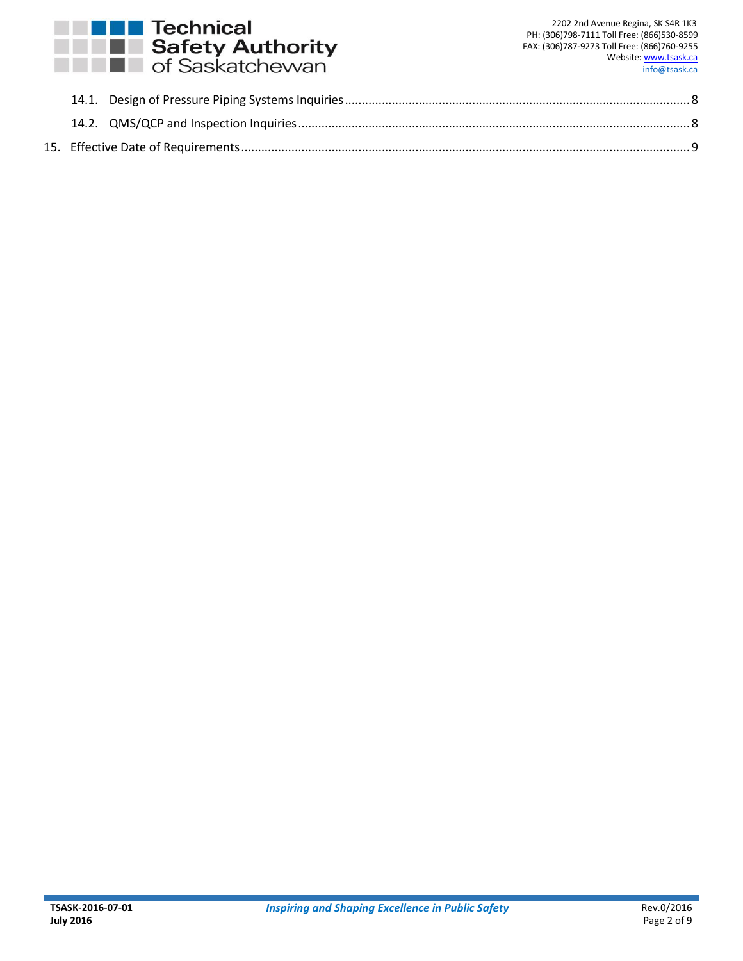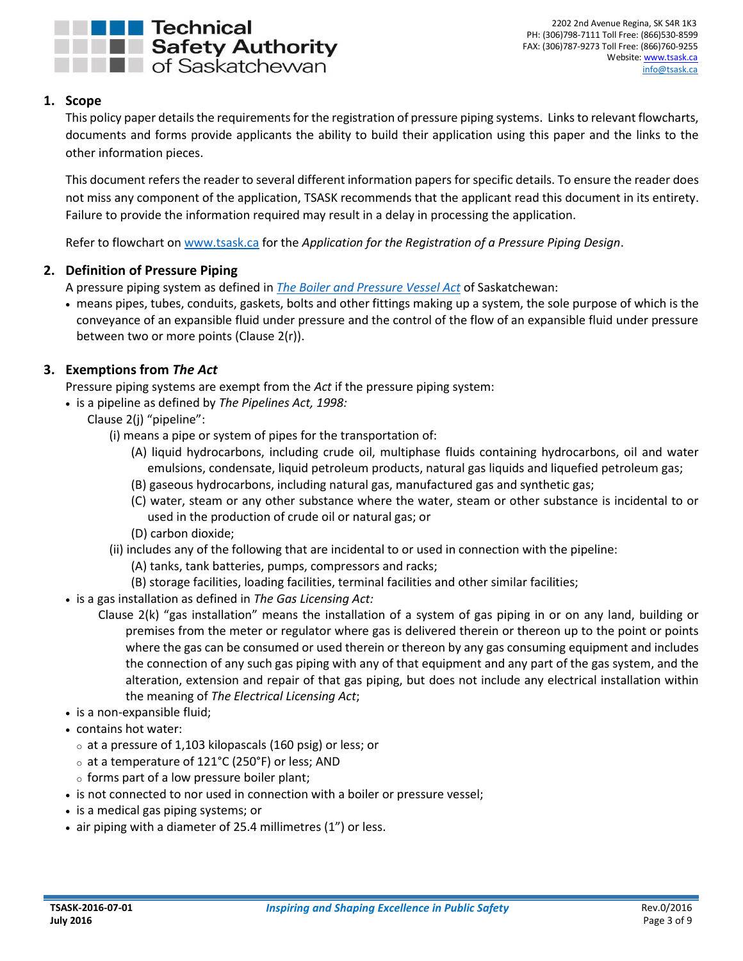

## <span id="page-2-0"></span>**1. Scope**

This policy paper details the requirements for the registration of pressure piping systems. Links to relevant flowcharts, documents and forms provide applicants the ability to build their application using this paper and the links to the other information pieces.

This document refers the reader to several different information papers for specific details. To ensure the reader does not miss any component of the application, TSASK recommends that the applicant read this document in its entirety. Failure to provide the information required may result in a delay in processing the application.

Refer to flowchart on [www.tsask.ca](http://www.tsask.ca/) for the *Application for the Registration of a Pressure Piping Design*.

## <span id="page-2-1"></span>**2. Definition of Pressure Piping**

A pressure piping system as defined in *[The Boiler and Pressure Vessel Act](http://www.tsask.ca/uploads/File/PDFs/Legislation/boiler_pressure_vessel_act.pdf)* of Saskatchewan:

 means pipes, tubes, conduits, gaskets, bolts and other fittings making up a system, the sole purpose of which is the conveyance of an expansible fluid under pressure and the control of the flow of an expansible fluid under pressure between two or more points (Clause 2(r)).

## <span id="page-2-2"></span>**3. Exemptions from** *The Act*

Pressure piping systems are exempt from the *Act* if the pressure piping system:

- is a pipeline as defined by *The Pipelines Act, 1998:*
	- Clause 2(j) "pipeline":
		- (i) means a pipe or system of pipes for the transportation of:
			- (A) liquid hydrocarbons, including crude oil, multiphase fluids containing hydrocarbons, oil and water emulsions, condensate, liquid petroleum products, natural gas liquids and liquefied petroleum gas;
			- (B) gaseous hydrocarbons, including natural gas, manufactured gas and synthetic gas;
			- (C) water, steam or any other substance where the water, steam or other substance is incidental to or used in the production of crude oil or natural gas; or
			- (D) carbon dioxide;
		- (ii) includes any of the following that are incidental to or used in connection with the pipeline:
			- (A) tanks, tank batteries, pumps, compressors and racks;
			- (B) storage facilities, loading facilities, terminal facilities and other similar facilities;
- is a gas installation as defined in *The Gas Licensing Act:*
	- Clause 2(k) "gas installation" means the installation of a system of gas piping in or on any land, building or premises from the meter or regulator where gas is delivered therein or thereon up to the point or points where the gas can be consumed or used therein or thereon by any gas consuming equipment and includes the connection of any such gas piping with any of that equipment and any part of the gas system, and the alteration, extension and repair of that gas piping, but does not include any electrical installation within the meaning of *The Electrical Licensing Act*;
- is a non-expansible fluid;
- contains hot water:
	- o at a pressure of 1,103 kilopascals (160 psig) or less; or
	- o at a temperature of 121°C (250°F) or less; AND
	- o forms part of a low pressure boiler plant;
- is not connected to nor used in connection with a boiler or pressure vessel;
- is a medical gas piping systems; or
- air piping with a diameter of 25.4 millimetres (1") or less.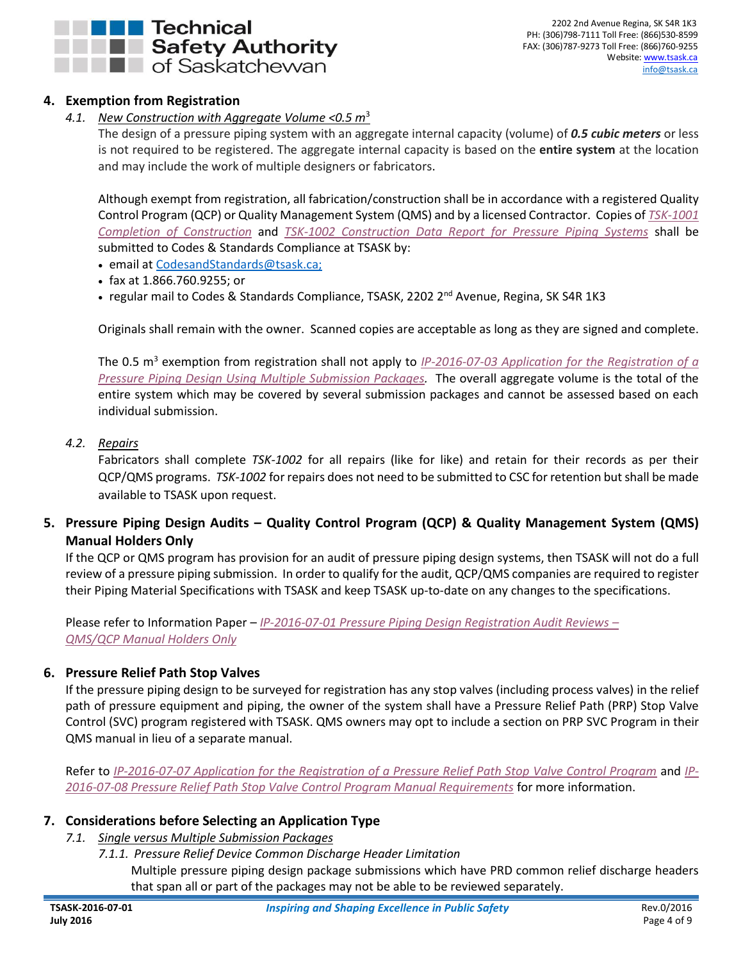

## <span id="page-3-1"></span><span id="page-3-0"></span>**4. Exemption from Registration**

*4.1. New Construction with Aggregate Volume <0.5 m*<sup>3</sup>

The design of a pressure piping system with an aggregate internal capacity (volume) of *0.5 cubic meters* or less is not required to be registered. The aggregate internal capacity is based on the **entire system** at the location and may include the work of multiple designers or fabricators.

Although exempt from registration, all fabrication/construction shall be in accordance with a registered Quality Control Program (QCP) or Quality Management System (QMS) and by a licensed Contractor. Copies of *[TSK-1001](http://www.tsask.ca/public/pdf/2016%20Pressure%20Piping/TSK-1001_-_Completion_of_Construction.pdf)  [Completion of Construction](http://www.tsask.ca/public/pdf/2016%20Pressure%20Piping/TSK-1001_-_Completion_of_Construction.pdf)* and *[TSK-1002 Construction Data Report for Pressure Piping Systems](http://www.tsask.ca/public/pdf/2016%20Pressure%20Piping/TSK-1002_-_Construction_Data_Report_for_Pressure_Piping_Systems.pdf)* shall be submitted to Codes & Standards Compliance at TSASK by:

- email at [CodesandStandards@tsask.ca;](mailto:CodesandStandards@tsask.ca)
- fax at 1.866.760.9255; or
- regular mail to Codes & Standards Compliance, TSASK, 2202 2<sup>nd</sup> Avenue, Regina, SK S4R 1K3

Originals shall remain with the owner. Scanned copies are acceptable as long as they are signed and complete.

The 0.5 m<sup>3</sup> exemption from registration shall not apply to *IP-2016-07-03 Application for the Registration of a Pressure Piping Design Using [Multiple Submission Packages.](http://www.tsask.ca/public/pdf/2016%20Pressure%20Piping/IP-2016-07-03_-_Application_for_the_Registration_of_a_Pressure_Piping_Design_with_Mult_Subs.pdf)* The overall aggregate volume is the total of the entire system which may be covered by several submission packages and cannot be assessed based on each individual submission.

#### <span id="page-3-2"></span>*4.2. Repairs*

Fabricators shall complete *TSK-1002* for all repairs (like for like) and retain for their records as per their QCP/QMS programs. *TSK-1002* for repairs does not need to be submitted to CSC for retention but shall be made available to TSASK upon request.

## <span id="page-3-3"></span>**5. Pressure Piping Design Audits – Quality Control Program (QCP) & Quality Management System (QMS) Manual Holders Only**

If the QCP or QMS program has provision for an audit of pressure piping design systems, then TSASK will not do a full review of a pressure piping submission. In order to qualify for the audit, QCP/QMS companies are required to register their Piping Material Specifications with TSASK and keep TSASK up-to-date on any changes to the specifications.

Please refer to Information Paper – *[IP-2016-07-01 Pressure Piping Design Registration Audit Reviews](http://www.tsask.ca/public/pdf/2016%20Pressure%20Piping/IP-2016-07-01__Pressure_Piping_Design_Registration_Audit_Reviews__QMS__QCP_Holders_Only.pdf) – QMS/QCP Manual [Holders Only](http://www.tsask.ca/public/pdf/2016%20Pressure%20Piping/IP-2016-07-01__Pressure_Piping_Design_Registration_Audit_Reviews__QMS__QCP_Holders_Only.pdf)*

## <span id="page-3-4"></span>**6. Pressure Relief Path Stop Valves**

If the pressure piping design to be surveyed for registration has any stop valves (including process valves) in the relief path of pressure equipment and piping, the owner of the system shall have a Pressure Relief Path (PRP) Stop Valve Control (SVC) program registered with TSASK. QMS owners may opt to include a section on PRP SVC Program in their QMS manual in lieu of a separate manual.

Refer to *[IP-2016-07-07 Application for the Registration of a Pressure Relief Path Stop Valve Control Program](http://www.tsask.ca/public/pdf/2016%20Pressure%20Piping/IP-2016-07-07_-_Application_for_the_Registration_of_a_PRP_SVC_Program.pdf)* and *[IP-](http://www.tsask.ca/public/pdf/2016%20Pressure%20Piping/IP-2016-07-08_-_PRP_SVC_Program_Manual_Requirements.pdf)[2016-07-08 Pressure Relief Path Stop Valve Control Program Manual Requirements](http://www.tsask.ca/public/pdf/2016%20Pressure%20Piping/IP-2016-07-08_-_PRP_SVC_Program_Manual_Requirements.pdf)* for more information.

## <span id="page-3-6"></span><span id="page-3-5"></span>**7. Considerations before Selecting an Application Type**

- *7.1. Single versus Multiple Submission Packages*
	- *7.1.1. Pressure Relief Device Common Discharge Header Limitation*

<span id="page-3-7"></span>Multiple pressure piping design package submissions which have PRD common relief discharge headers that span all or part of the packages may not be able to be reviewed separately.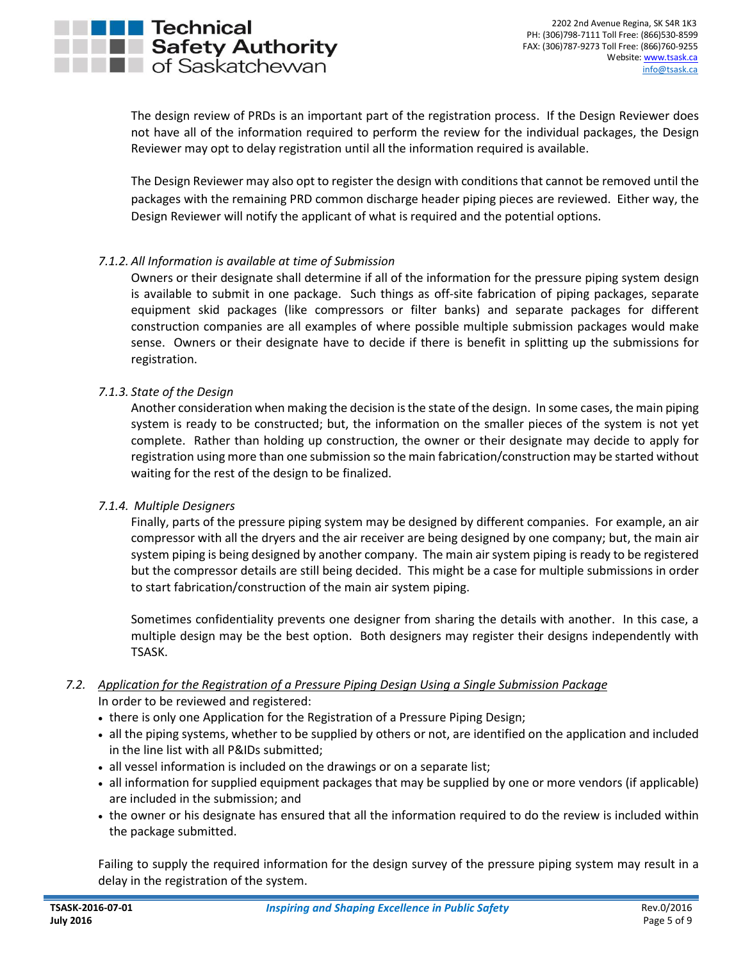The design review of PRDs is an important part of the registration process. If the Design Reviewer does not have all of the information required to perform the review for the individual packages, the Design Reviewer may opt to delay registration until all the information required is available.

The Design Reviewer may also opt to register the design with conditions that cannot be removed until the packages with the remaining PRD common discharge header piping pieces are reviewed. Either way, the Design Reviewer will notify the applicant of what is required and the potential options.

#### <span id="page-4-0"></span>*7.1.2. All Information is available at time of Submission*

Owners or their designate shall determine if all of the information for the pressure piping system design is available to submit in one package. Such things as off-site fabrication of piping packages, separate equipment skid packages (like compressors or filter banks) and separate packages for different construction companies are all examples of where possible multiple submission packages would make sense. Owners or their designate have to decide if there is benefit in splitting up the submissions for registration.

#### <span id="page-4-1"></span>*7.1.3. State of the Design*

Another consideration when making the decision isthe state of the design. In some cases, the main piping system is ready to be constructed; but, the information on the smaller pieces of the system is not yet complete. Rather than holding up construction, the owner or their designate may decide to apply for registration using more than one submission so the main fabrication/construction may be started without waiting for the rest of the design to be finalized.

#### *7.1.4. Multiple Designers*

<span id="page-4-2"></span>Finally, parts of the pressure piping system may be designed by different companies. For example, an air compressor with all the dryers and the air receiver are being designed by one company; but, the main air system piping is being designed by another company. The main air system piping is ready to be registered but the compressor details are still being decided. This might be a case for multiple submissions in order to start fabrication/construction of the main air system piping.

Sometimes confidentiality prevents one designer from sharing the details with another. In this case, a multiple design may be the best option. Both designers may register their designs independently with TSASK.

#### <span id="page-4-3"></span>*7.2. Application for the Registration of a Pressure Piping Design Using a Single Submission Package* In order to be reviewed and registered:

- there is only one Application for the Registration of a Pressure Piping Design;
- all the piping systems, whether to be supplied by others or not, are identified on the application and included in the line list with all P&IDs submitted;
- all vessel information is included on the drawings or on a separate list;
- all information for supplied equipment packages that may be supplied by one or more vendors (if applicable) are included in the submission; and
- the owner or his designate has ensured that all the information required to do the review is included within the package submitted.

Failing to supply the required information for the design survey of the pressure piping system may result in a delay in the registration of the system.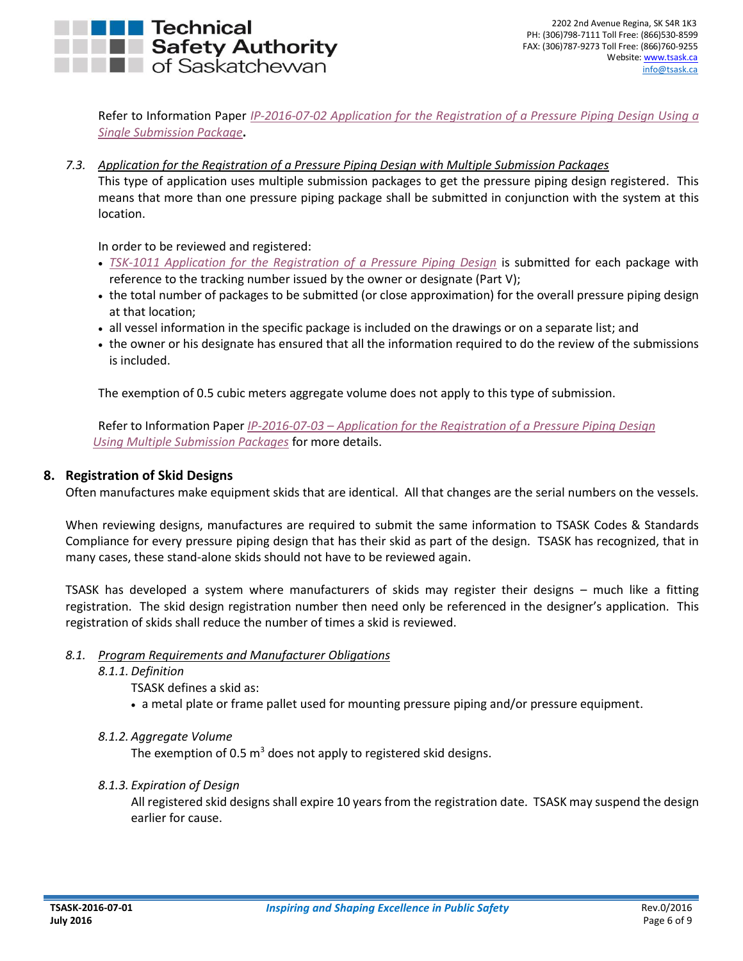# Technical **The Safety Authority**<br> **The of Saskatchewan**

Refer to Information Paper *IP-2016-07-02 [Application for the Registration of a Pressure Piping Design Using](http://www.tsask.ca/public/pdf/2016%20Pressure%20Piping/IP-2016-07-02_-_Application_for_the_Registration_of_a_Single_Submission_Pressure_Piping_Design.pdf) a [Single Submission Package](http://www.tsask.ca/public/pdf/2016%20Pressure%20Piping/IP-2016-07-02_-_Application_for_the_Registration_of_a_Single_Submission_Pressure_Piping_Design.pdf)***.**

<span id="page-5-0"></span>*7.3. Application for the Registration of a Pressure Piping Design with Multiple Submission Packages*

This type of application uses multiple submission packages to get the pressure piping design registered. This means that more than one pressure piping package shall be submitted in conjunction with the system at this location.

In order to be reviewed and registered:

- *TSK-1011 [Application for the Registration of a Pressure Piping Design](http://www.tsask.ca/public/pdf/2016%20Pressure%20Piping/TSK-1011_-_Application_for_the_Registration_of_a_Pressure_Piping_Design_Form.pdf)* is submitted for each package with reference to the tracking number issued by the owner or designate (Part V);
- the total number of packages to be submitted (or close approximation) for the overall pressure piping design at that location;
- all vessel information in the specific package is included on the drawings or on a separate list; and
- the owner or his designate has ensured that all the information required to do the review of the submissions is included.

The exemption of 0.5 cubic meters aggregate volume does not apply to this type of submission.

Refer to Information Paper *IP-2016-07-03 – [Application for the Registration of a Pressure Piping Design](http://www.tsask.ca/public/pdf/2016%20Pressure%20Piping/IP-2016-07-03_-_Application_for_the_Registration_of_a_Pressure_Piping_Design_with_Mult_Subs.pdf)  Using [Multiple Submission Packages](http://www.tsask.ca/public/pdf/2016%20Pressure%20Piping/IP-2016-07-03_-_Application_for_the_Registration_of_a_Pressure_Piping_Design_with_Mult_Subs.pdf)* for more details.

#### <span id="page-5-1"></span>**8. Registration of Skid Designs**

Often manufactures make equipment skids that are identical. All that changes are the serial numbers on the vessels.

When reviewing designs, manufactures are required to submit the same information to TSASK Codes & Standards Compliance for every pressure piping design that has their skid as part of the design. TSASK has recognized, that in many cases, these stand-alone skids should not have to be reviewed again.

TSASK has developed a system where manufacturers of skids may register their designs – much like a fitting registration. The skid design registration number then need only be referenced in the designer's application. This registration of skids shall reduce the number of times a skid is reviewed.

#### <span id="page-5-3"></span><span id="page-5-2"></span>*8.1. Program Requirements and Manufacturer Obligations*

*8.1.1. Definition*

TSASK defines a skid as:

- a metal plate or frame pallet used for mounting pressure piping and/or pressure equipment.
- <span id="page-5-4"></span>*8.1.2. Aggregate Volume*

The exemption of 0.5  $m^3$  does not apply to registered skid designs.

#### <span id="page-5-5"></span>*8.1.3. Expiration of Design*

All registered skid designs shall expire 10 years from the registration date. TSASK may suspend the design earlier for cause.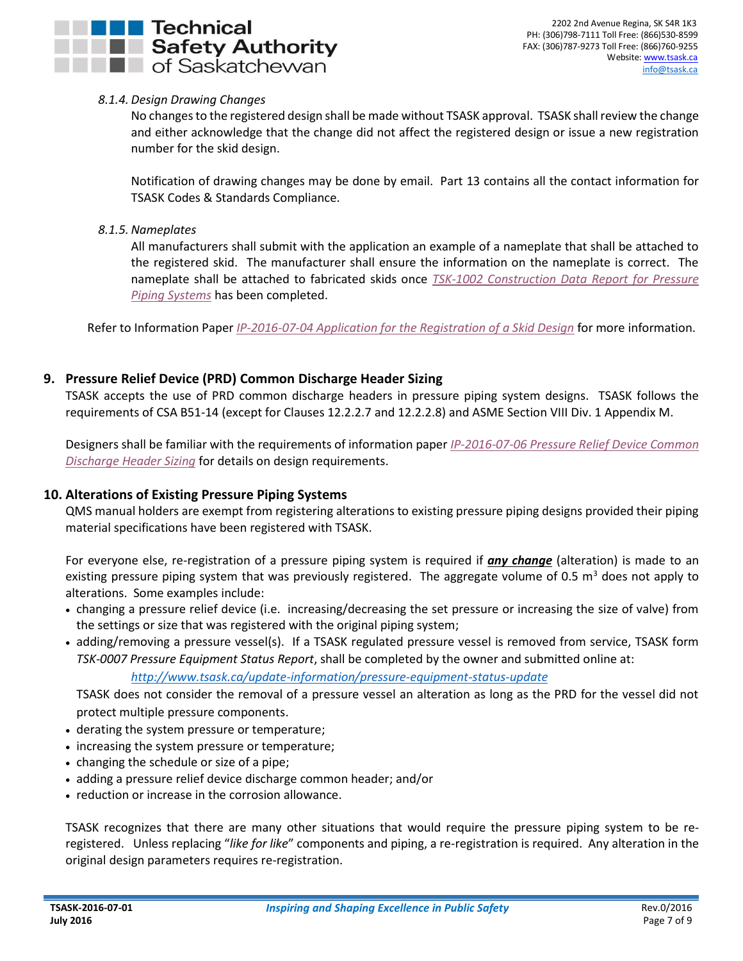## **Technical THE Safety Authority**  $\blacksquare$  of Saskatchewan

#### <span id="page-6-0"></span>*8.1.4. Design Drawing Changes*

No changes to the registered design shall be made without TSASK approval. TSASK shall review the change and either acknowledge that the change did not affect the registered design or issue a new registration number for the skid design.

Notification of drawing changes may be done by email. Part 13 contains all the contact information for TSASK Codes & Standards Compliance.

#### <span id="page-6-1"></span>*8.1.5. Nameplates*

All manufacturers shall submit with the application an example of a nameplate that shall be attached to the registered skid. The manufacturer shall ensure the information on the nameplate is correct. The nameplate shall be attached to fabricated skids once *[TSK-1002 Construction Data Report for Pressure](http://www.tsask.ca/public/pdf/2016%20Pressure%20Piping/TSK-1002_-_Construction_Data_Report_for_Pressure_Piping_Systems.pdf)  [Piping Systems](http://www.tsask.ca/public/pdf/2016%20Pressure%20Piping/TSK-1002_-_Construction_Data_Report_for_Pressure_Piping_Systems.pdf)* has been completed.

Refer to Information Paper *[IP-2016-07-04 Application for the Registration of a Skid Design](http://www.tsask.ca/public/pdf/2016%20Pressure%20Piping/IP-2016-07-04_-_Application_for_the_Registration_of_a_Skid_Design.pdf)* for more information.

#### <span id="page-6-2"></span>**9. Pressure Relief Device (PRD) Common Discharge Header Sizing**

TSASK accepts the use of PRD common discharge headers in pressure piping system designs. TSASK follows the requirements of CSA B51-14 (except for Clauses 12.2.2.7 and 12.2.2.8) and ASME Section VIII Div. 1 Appendix M.

Designers shall be familiar with the requirements of information paper *IP-2016-07-06 [Pressure Relief Device Common](http://www.tsask.ca/public/pdf/2016%20Pressure%20Piping/IP-2016-07-06_-_Pressure_Relief_Device_Common_Discharge_Header_Sizing.pdf)  [Discharge Header Sizing](http://www.tsask.ca/public/pdf/2016%20Pressure%20Piping/IP-2016-07-06_-_Pressure_Relief_Device_Common_Discharge_Header_Sizing.pdf)* for details on design requirements.

#### <span id="page-6-3"></span>**10. Alterations of Existing Pressure Piping Systems**

QMS manual holders are exempt from registering alterations to existing pressure piping designs provided their piping material specifications have been registered with TSASK.

For everyone else, re-registration of a pressure piping system is required if *any change* (alteration) is made to an existing pressure piping system that was previously registered. The aggregate volume of 0.5  $m<sup>3</sup>$  does not apply to alterations. Some examples include:

- changing a pressure relief device (i.e. increasing/decreasing the set pressure or increasing the size of valve) from the settings or size that was registered with the original piping system;
- adding/removing a pressure vessel(s). If a TSASK regulated pressure vessel is removed from service, TSASK form *TSK-0007 Pressure Equipment Status Report*, shall be completed by the owner and submitted online at:

#### *<http://www.tsask.ca/update-information/pressure-equipment-status-update>*

TSASK does not consider the removal of a pressure vessel an alteration as long as the PRD for the vessel did not protect multiple pressure components.

- derating the system pressure or temperature;
- increasing the system pressure or temperature;
- changing the schedule or size of a pipe;
- adding a pressure relief device discharge common header; and/or
- reduction or increase in the corrosion allowance.

TSASK recognizes that there are many other situations that would require the pressure piping system to be reregistered. Unless replacing "*like for like*" components and piping, a re-registration is required. Any alteration in the original design parameters requires re-registration.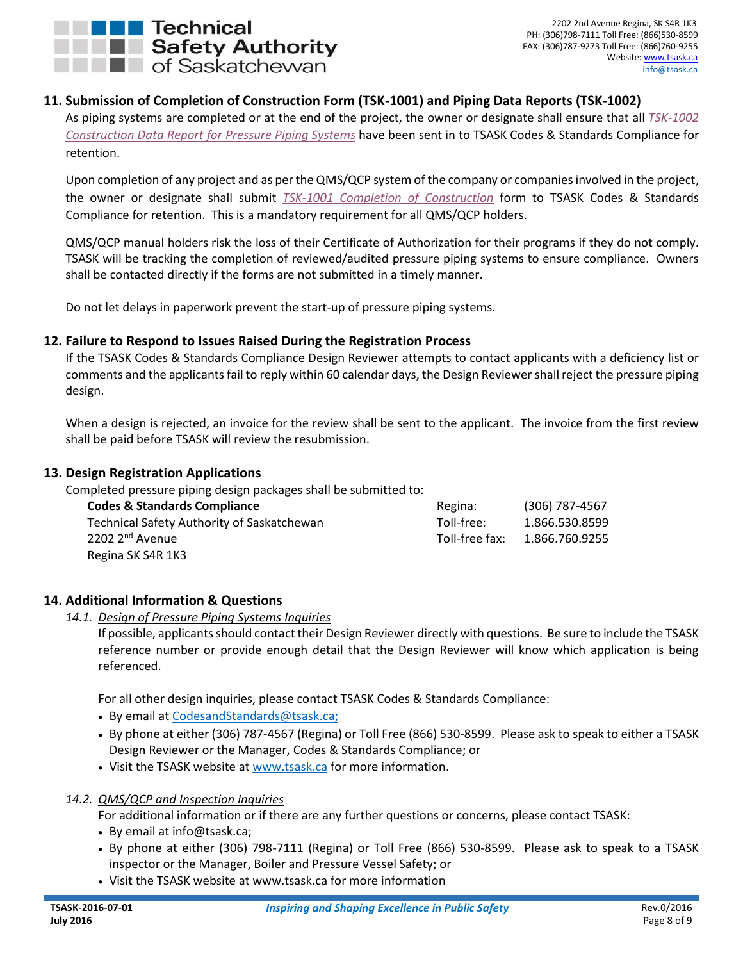

2202 2nd Avenue Regina, SK S4R 1K3 PH: (306)798-7111 Toll Free: (866)530-8599 FAX: (306)787-9273 Toll Free: (866)760-9255 Website: [www.tsask.ca](http://www.tsask.ca/) [info@tsask.ca](mailto:info@tsask.ca)

#### <span id="page-7-0"></span>**11. Submission of Completion of Construction Form (TSK-1001) and Piping Data Reports (TSK-1002)**

As piping systems are completed or at the end of the project, the owner or designate shall ensure that all *[TSK-1002](http://www.tsask.ca/public/pdf/2016%20Pressure%20Piping/TSK-1002_-_Construction_Data_Report_for_Pressure_Piping_Systems.pdf) [Construction Data Report for Pressure Piping](http://www.tsask.ca/public/pdf/2016%20Pressure%20Piping/TSK-1002_-_Construction_Data_Report_for_Pressure_Piping_Systems.pdf) Systems* have been sent in to TSASK Codes & Standards Compliance for retention.

Upon completion of any project and as per the QMS/QCP system of the company or companies involved in the project, the owner or designate shall submit *[TSK-1001 Completion of Construction](http://www.tsask.ca/public/pdf/2016%20Pressure%20Piping/TSK-1001_-_Completion_of_Construction.pdf)* form to TSASK Codes & Standards Compliance for retention. This is a mandatory requirement for all QMS/QCP holders.

QMS/QCP manual holders risk the loss of their Certificate of Authorization for their programs if they do not comply. TSASK will be tracking the completion of reviewed/audited pressure piping systems to ensure compliance. Owners shall be contacted directly if the forms are not submitted in a timely manner.

Do not let delays in paperwork prevent the start-up of pressure piping systems.

#### <span id="page-7-1"></span>**12. Failure to Respond to Issues Raised During the Registration Process**

If the TSASK Codes & Standards Compliance Design Reviewer attempts to contact applicants with a deficiency list or comments and the applicants fail to reply within 60 calendar days, the Design Reviewer shall reject the pressure piping design.

When a design is rejected, an invoice for the review shall be sent to the applicant. The invoice from the first review shall be paid before TSASK will review the resubmission.

#### <span id="page-7-2"></span>**13. Design Registration Applications**

Completed pressure piping design packages shall be submitted to:

| <b>Codes &amp; Standards Compliance</b>    | Regina:        | $(306)$ 787-4567 |
|--------------------------------------------|----------------|------------------|
| Technical Safety Authority of Saskatchewan | Toll-free:     | 1.866.530.8599   |
| 2202 2 <sup>nd</sup> Avenue                | Toll-free fax: | 1.866.760.9255   |
| Regina SK S4R 1K3                          |                |                  |

#### <span id="page-7-4"></span><span id="page-7-3"></span>**14. Additional Information & Questions**

#### *14.1. Design of Pressure Piping Systems Inquiries*

If possible, applicants should contact their Design Reviewer directly with questions. Be sure to include the TSASK reference number or provide enough detail that the Design Reviewer will know which application is being referenced.

For all other design inquiries, please contact TSASK Codes & Standards Compliance:

- By email at [CodesandStandards@tsask.ca;](mailto:CodesandStandards@tsask.ca)
- By phone at either (306) 787-4567 (Regina) or Toll Free (866) 530-8599. Please ask to speak to either a TSASK Design Reviewer or the Manager, Codes & Standards Compliance; or
- Visit the TSASK website at [www.tsask.ca](http://www.tsask.ca/) for more information.

#### <span id="page-7-5"></span>*14.2. QMS/QCP and Inspection Inquiries*

For additional information or if there are any further questions or concerns, please contact TSASK:

- By email at info@tsask.ca;
- By phone at either (306) 798-7111 (Regina) or Toll Free (866) 530-8599. Please ask to speak to a TSASK inspector or the Manager, Boiler and Pressure Vessel Safety; or
- Visit the TSASK website at www.tsask.ca for more information